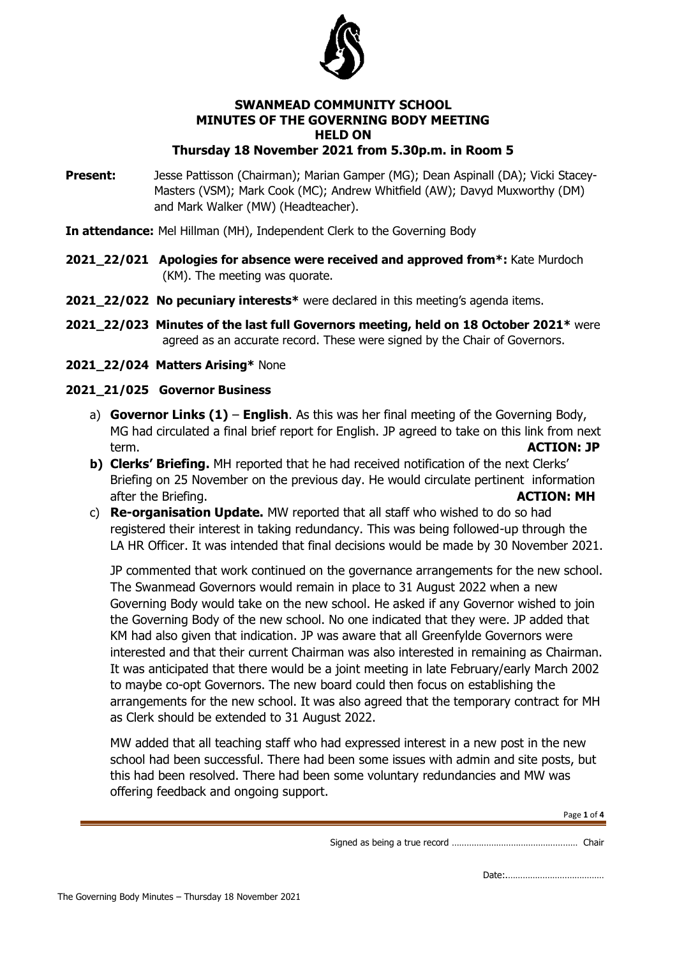

#### **SWANMEAD COMMUNITY SCHOOL MINUTES OF THE GOVERNING BODY MEETING HELD ON Thursday 18 November 2021 from 5.30p.m. in Room 5**

**Present:** Jesse Pattisson (Chairman); Marian Gamper (MG); Dean Aspinall (DA); Vicki Stacey-Masters (VSM); Mark Cook (MC); Andrew Whitfield (AW); Davyd Muxworthy (DM) and Mark Walker (MW) (Headteacher).

**In attendance:** Mel Hillman (MH), Independent Clerk to the Governing Body

- **2021\_22/021 Apologies for absence were received and approved from\*:** Kate Murdoch (KM). The meeting was quorate.
- **2021\_22/022 No pecuniary interests\*** were declared in this meeting's agenda items.
- **2021\_22/023 Minutes of the last full Governors meeting, held on 18 October 2021\*** were agreed as an accurate record. These were signed by the Chair of Governors.
- **2021\_22/024 Matters Arising\*** None

### **2021\_21/025 Governor Business**

- a) **Governor Links (1) English**. As this was her final meeting of the Governing Body, MG had circulated a final brief report for English. JP agreed to take on this link from next term. **ACTION: JP**
- **b) Clerks' Briefing.** MH reported that he had received notification of the next Clerks' Briefing on 25 November on the previous day. He would circulate pertinent information after the Briefing. **ACTION: MH**
- c) **Re-organisation Update.** MW reported that all staff who wished to do so had registered their interest in taking redundancy. This was being followed-up through the LA HR Officer. It was intended that final decisions would be made by 30 November 2021.

JP commented that work continued on the governance arrangements for the new school. The Swanmead Governors would remain in place to 31 August 2022 when a new Governing Body would take on the new school. He asked if any Governor wished to join the Governing Body of the new school. No one indicated that they were. JP added that KM had also given that indication. JP was aware that all Greenfylde Governors were interested and that their current Chairman was also interested in remaining as Chairman. It was anticipated that there would be a joint meeting in late February/early March 2002 to maybe co-opt Governors. The new board could then focus on establishing the arrangements for the new school. It was also agreed that the temporary contract for MH as Clerk should be extended to 31 August 2022.

MW added that all teaching staff who had expressed interest in a new post in the new school had been successful. There had been some issues with admin and site posts, but this had been resolved. There had been some voluntary redundancies and MW was offering feedback and ongoing support.

Page **1** of **4**

Signed as being a true record …………………………………………… Chair

Date:.…………………………………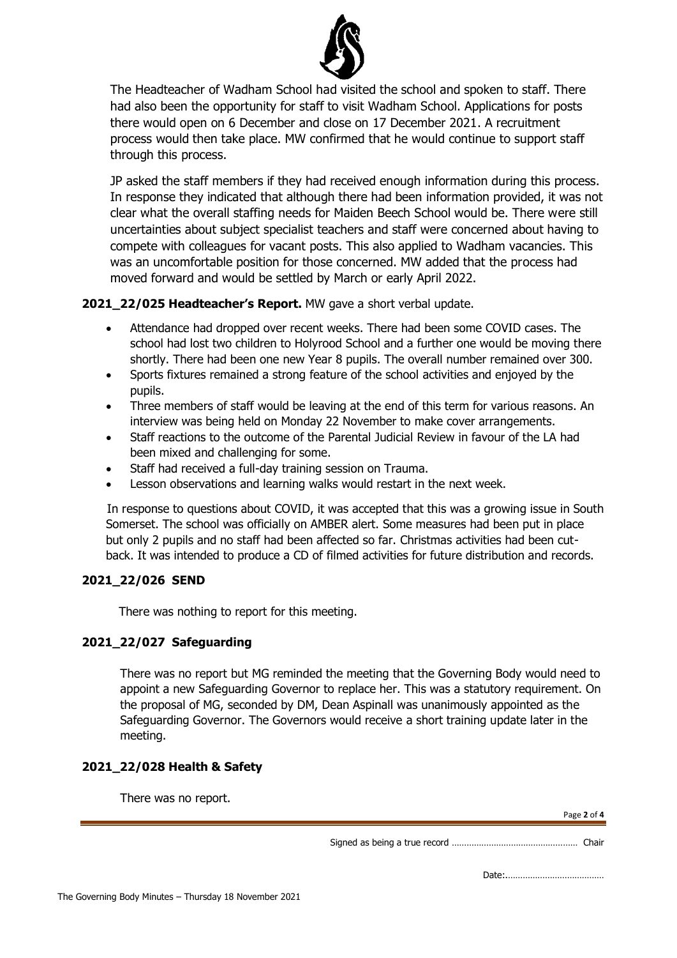

The Headteacher of Wadham School had visited the school and spoken to staff. There had also been the opportunity for staff to visit Wadham School. Applications for posts there would open on 6 December and close on 17 December 2021. A recruitment process would then take place. MW confirmed that he would continue to support staff through this process.

JP asked the staff members if they had received enough information during this process. In response they indicated that although there had been information provided, it was not clear what the overall staffing needs for Maiden Beech School would be. There were still uncertainties about subject specialist teachers and staff were concerned about having to compete with colleagues for vacant posts. This also applied to Wadham vacancies. This was an uncomfortable position for those concerned. MW added that the process had moved forward and would be settled by March or early April 2022.

### **2021\_22/025 Headteacher's Report.** MW gave a short verbal update.

- Attendance had dropped over recent weeks. There had been some COVID cases. The school had lost two children to Holyrood School and a further one would be moving there shortly. There had been one new Year 8 pupils. The overall number remained over 300.
- Sports fixtures remained a strong feature of the school activities and enjoyed by the pupils.
- Three members of staff would be leaving at the end of this term for various reasons. An interview was being held on Monday 22 November to make cover arrangements.
- Staff reactions to the outcome of the Parental Judicial Review in favour of the LA had been mixed and challenging for some.
- Staff had received a full-day training session on Trauma.
- Lesson observations and learning walks would restart in the next week.

 In response to questions about COVID, it was accepted that this was a growing issue in South Somerset. The school was officially on AMBER alert. Some measures had been put in place but only 2 pupils and no staff had been affected so far. Christmas activities had been cutback. It was intended to produce a CD of filmed activities for future distribution and records.

# **2021\_22/026 SEND**

There was nothing to report for this meeting.

### **2021\_22/027 Safeguarding**

There was no report but MG reminded the meeting that the Governing Body would need to appoint a new Safeguarding Governor to replace her. This was a statutory requirement. On the proposal of MG, seconded by DM, Dean Aspinall was unanimously appointed as the Safeguarding Governor. The Governors would receive a short training update later in the meeting.

### **2021\_22/028 Health & Safety**

Page **2** of **4** Signed as being a true record …………………………………………… Chair Date:.………………………………… There was no report.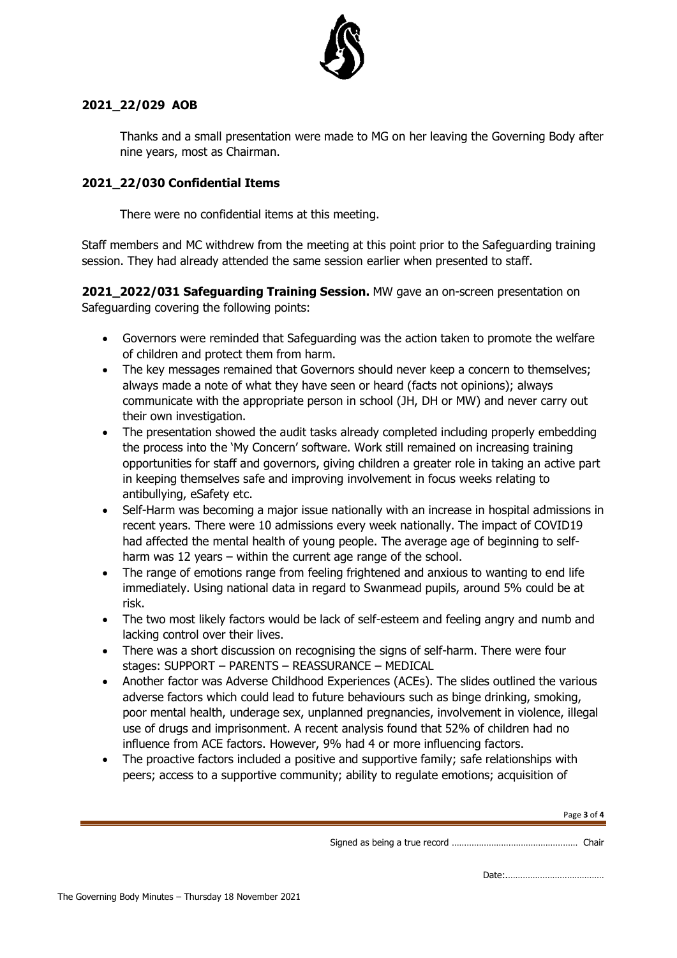

# **2021\_22/029 AOB**

Thanks and a small presentation were made to MG on her leaving the Governing Body after nine years, most as Chairman.

# **2021\_22/030 Confidential Items**

There were no confidential items at this meeting.

Staff members and MC withdrew from the meeting at this point prior to the Safeguarding training session. They had already attended the same session earlier when presented to staff.

**2021\_2022/031 Safeguarding Training Session.** MW gave an on-screen presentation on Safeguarding covering the following points:

- Governors were reminded that Safeguarding was the action taken to promote the welfare of children and protect them from harm.
- The key messages remained that Governors should never keep a concern to themselves: always made a note of what they have seen or heard (facts not opinions); always communicate with the appropriate person in school (JH, DH or MW) and never carry out their own investigation.
- The presentation showed the audit tasks already completed including properly embedding the process into the 'My Concern' software. Work still remained on increasing training opportunities for staff and governors, giving children a greater role in taking an active part in keeping themselves safe and improving involvement in focus weeks relating to antibullying, eSafety etc.
- Self-Harm was becoming a major issue nationally with an increase in hospital admissions in recent years. There were 10 admissions every week nationally. The impact of COVID19 had affected the mental health of young people. The average age of beginning to selfharm was 12 years – within the current age range of the school.
- The range of emotions range from feeling frightened and anxious to wanting to end life immediately. Using national data in regard to Swanmead pupils, around 5% could be at risk.
- The two most likely factors would be lack of self-esteem and feeling angry and numb and lacking control over their lives.
- There was a short discussion on recognising the signs of self-harm. There were four stages: SUPPORT – PARENTS – REASSURANCE – MEDICAL
- Another factor was Adverse Childhood Experiences (ACEs). The slides outlined the various adverse factors which could lead to future behaviours such as binge drinking, smoking, poor mental health, underage sex, unplanned pregnancies, involvement in violence, illegal use of drugs and imprisonment. A recent analysis found that 52% of children had no influence from ACE factors. However, 9% had 4 or more influencing factors.
- The proactive factors included a positive and supportive family; safe relationships with peers; access to a supportive community; ability to regulate emotions; acquisition of

Page **3** of **4**

Signed as being a true record …………………………………………… Chair

Date:.…………………………………